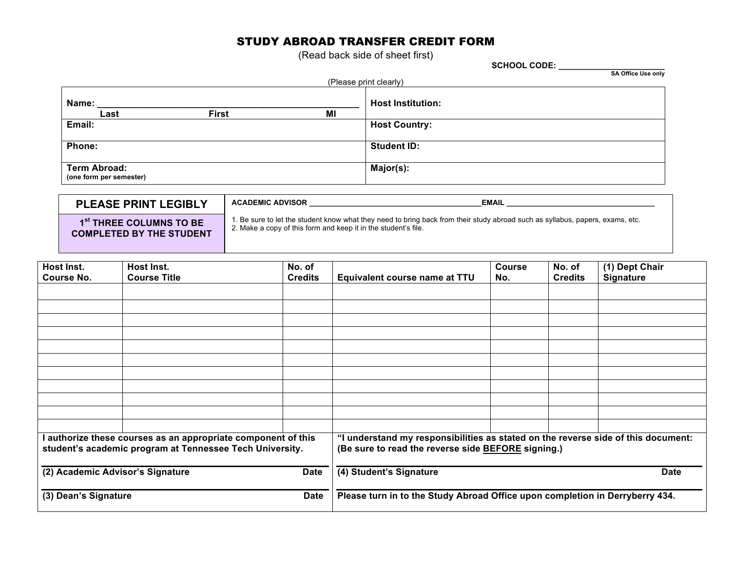# STUDY ABROAD TRANSFER CREDIT FORM

(Read back side of sheet first)

**SCHOOL CODE: \_\_\_\_\_\_\_\_\_\_\_\_\_\_\_\_\_\_\_\_\_\_\_**

| <b>SA Office Use only</b> |  |
|---------------------------|--|

| (Please print clearly)                         |              |    |                          |  |  |
|------------------------------------------------|--------------|----|--------------------------|--|--|
| Name:                                          |              |    | <b>Host Institution:</b> |  |  |
| Last                                           | <b>First</b> | МI |                          |  |  |
| Email:                                         |              |    | <b>Host Country:</b>     |  |  |
| Phone:                                         |              |    | <b>Student ID:</b>       |  |  |
| <b>Term Abroad:</b><br>(one form per semester) |              |    | Major(s):                |  |  |

| <b>PLEASE PRINT LEGIBLY</b>         | <b>ACADEMIC ADVISOR</b><br><b>EMAIL</b>                                                                                       |
|-------------------------------------|-------------------------------------------------------------------------------------------------------------------------------|
| 1 <sup>st</sup> THREE COLUMNS TO BE | 1. Be sure to let the student know what they need to bring back from their study abroad such as syllabus, papers, exams, etc. |
| <b>COMPLETED BY THE STUDENT</b>     | 2. Make a copy of this form and keep it in the student's file.                                                                |

| Host Inst.<br><b>Course No.</b>                                                                                         | Host Inst.<br><b>Course Title</b> | No. of<br><b>Credits</b>                                                                                                                | Equivalent course name at TTU                                                | <b>Course</b><br>No. | No. of<br><b>Credits</b> | (1) Dept Chair<br><b>Signature</b> |
|-------------------------------------------------------------------------------------------------------------------------|-----------------------------------|-----------------------------------------------------------------------------------------------------------------------------------------|------------------------------------------------------------------------------|----------------------|--------------------------|------------------------------------|
|                                                                                                                         |                                   |                                                                                                                                         |                                                                              |                      |                          |                                    |
|                                                                                                                         |                                   |                                                                                                                                         |                                                                              |                      |                          |                                    |
|                                                                                                                         |                                   |                                                                                                                                         |                                                                              |                      |                          |                                    |
|                                                                                                                         |                                   |                                                                                                                                         |                                                                              |                      |                          |                                    |
|                                                                                                                         |                                   |                                                                                                                                         |                                                                              |                      |                          |                                    |
|                                                                                                                         |                                   |                                                                                                                                         |                                                                              |                      |                          |                                    |
|                                                                                                                         |                                   |                                                                                                                                         |                                                                              |                      |                          |                                    |
|                                                                                                                         |                                   |                                                                                                                                         |                                                                              |                      |                          |                                    |
|                                                                                                                         |                                   |                                                                                                                                         |                                                                              |                      |                          |                                    |
|                                                                                                                         |                                   |                                                                                                                                         |                                                                              |                      |                          |                                    |
|                                                                                                                         |                                   |                                                                                                                                         |                                                                              |                      |                          |                                    |
| authorize these courses as an appropriate component of this<br>student's academic program at Tennessee Tech University. |                                   | "I understand my responsibilities as stated on the reverse side of this document:<br>(Be sure to read the reverse side BEFORE signing.) |                                                                              |                      |                          |                                    |
| (2) Academic Advisor's Signature<br><b>Date</b>                                                                         |                                   | (4) Student's Signature<br><b>Date</b>                                                                                                  |                                                                              |                      |                          |                                    |
| (3) Dean's Signature<br><b>Date</b>                                                                                     |                                   |                                                                                                                                         | Please turn in to the Study Abroad Office upon completion in Derryberry 434. |                      |                          |                                    |